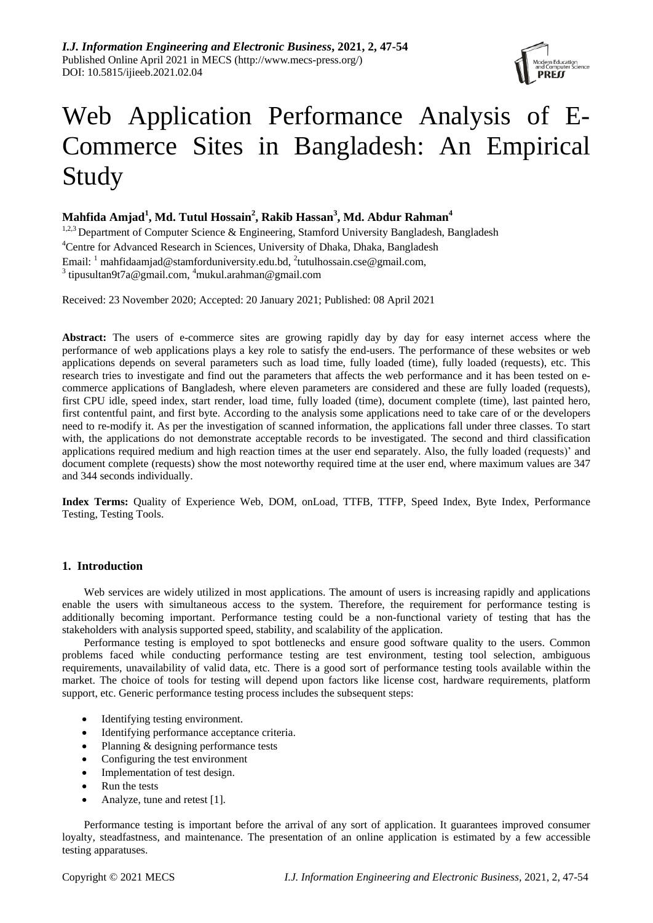

# Web Application Performance Analysis of E-Commerce Sites in Bangladesh: An Empirical Study

## **Mahfida Amjad<sup>1</sup> , Md. Tutul Hossain<sup>2</sup> , Rakib Hassan<sup>3</sup> , Md. Abdur Rahman<sup>4</sup>**

<sup>1,2,3</sup> Department of Computer Science & Engineering, Stamford University Bangladesh, Bangladesh <sup>4</sup>Centre for Advanced Research in Sciences, University of Dhaka, Dhaka, Bangladesh Email: <sup>1</sup> [mahfidaamjad@stamforduniversity.edu.bd,](mailto:mahfidaamjad@stamforduniversity.edu.bd) <sup>2</sup>tutulhossain.cse@gmail.com, <sup>3</sup> tipusultan9t7a@gmail.com, <sup>4</sup>mukul.arahman@gmail.com

Received: 23 November 2020; Accepted: 20 January 2021; Published: 08 April 2021

**Abstract:** The users of e-commerce sites are growing rapidly day by day for easy internet access where the performance of web applications plays a key role to satisfy the end-users. The performance of these websites or web applications depends on several parameters such as load time, fully loaded (time), fully loaded (requests), etc. This research tries to investigate and find out the parameters that affects the web performance and it has been tested on ecommerce applications of Bangladesh, where eleven parameters are considered and these are fully loaded (requests), first CPU idle, speed index, start render, load time, fully loaded (time), document complete (time), last painted hero, first contentful paint, and first byte. According to the analysis some applications need to take care of or the developers need to re-modify it. As per the investigation of scanned information, the applications fall under three classes. To start with, the applications do not demonstrate acceptable records to be investigated. The second and third classification applications required medium and high reaction times at the user end separately. Also, the fully loaded (requests)' and document complete (requests) show the most noteworthy required time at the user end, where maximum values are 347 and 344 seconds individually.

**Index Terms:** Quality of Experience Web, DOM, onLoad, TTFB, TTFP, Speed Index, Byte Index, Performance Testing, Testing Tools.

## **1. Introduction**

Web services are widely utilized in most applications. The amount of users is increasing rapidly and applications enable the users with simultaneous access to the system. Therefore, the requirement for performance testing is additionally becoming important. Performance testing could be a non-functional variety of testing that has the stakeholders with analysis supported speed, stability, and scalability of the application.

Performance testing is employed to spot bottlenecks and ensure good software quality to the users. Common problems faced while conducting performance testing are test environment, testing tool selection, ambiguous requirements, unavailability of valid data, etc. There is a good sort of performance testing tools available within the market. The choice of tools for testing will depend upon factors like license cost, hardware requirements, platform support, etc. Generic performance testing process includes the subsequent steps:

- Identifying testing environment.
- Identifying performance acceptance criteria.
- Planning & designing performance tests
- Configuring the test environment
- Implementation of test design.
- Run the tests
- Analyze, tune and retest [1].

Performance testing is important before the arrival of any sort of application. It guarantees improved consumer loyalty, steadfastness, and maintenance. The presentation of an online application is estimated by a few accessible testing apparatuses.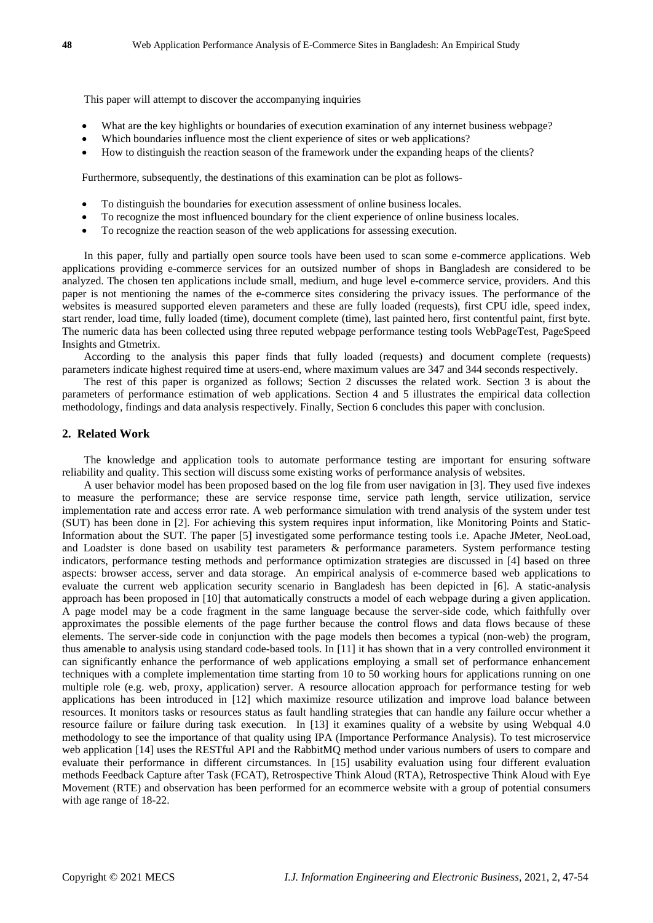This paper will attempt to discover the accompanying inquiries

- What are the key highlights or boundaries of execution examination of any internet business webpage?
- Which boundaries influence most the client experience of sites or web applications?
- How to distinguish the reaction season of the framework under the expanding heaps of the clients?

Furthermore, subsequently, the destinations of this examination can be plot as follows-

- To distinguish the boundaries for execution assessment of online business locales.
- To recognize the most influenced boundary for the client experience of online business locales.
- To recognize the reaction season of the web applications for assessing execution.

In this paper, fully and partially open source tools have been used to scan some e-commerce applications. Web applications providing e-commerce services for an outsized number of shops in Bangladesh are considered to be analyzed. The chosen ten applications include small, medium, and huge level e-commerce service, providers. And this paper is not mentioning the names of the e-commerce sites considering the privacy issues. The performance of the websites is measured supported eleven parameters and these are fully loaded (requests), first CPU idle, speed index, start render, load time, fully loaded (time), document complete (time), last painted hero, first contentful paint, first byte. The numeric data has been collected using three reputed webpage performance testing tools WebPageTest, PageSpeed Insights and Gtmetrix.

According to the analysis this paper finds that fully loaded (requests) and document complete (requests) parameters indicate highest required time at users-end, where maximum values are 347 and 344 seconds respectively.

The rest of this paper is organized as follows; Section 2 discusses the related work. Section 3 is about the parameters of performance estimation of web applications. Section 4 and 5 illustrates the empirical data collection methodology, findings and data analysis respectively. Finally, Section 6 concludes this paper with conclusion.

## **2. Related Work**

The knowledge and application tools to automate performance testing are important for ensuring software reliability and quality. This section will discuss some existing works of performance analysis of websites.

A user behavior model has been proposed based on the log file from user navigation in [3]. They used five indexes to measure the performance; these are service response time, service path length, service utilization, service implementation rate and access error rate. A web performance simulation with trend analysis of the system under test (SUT) has been done in [2]. For achieving this system requires input information, like Monitoring Points and Static-Information about the SUT. The paper [5] investigated some performance testing tools i.e. Apache JMeter, NeoLoad, and Loadster is done based on usability test parameters & performance parameters. System performance testing indicators, performance testing methods and performance optimization strategies are discussed in [4] based on three aspects: browser access, server and data storage. An empirical analysis of e-commerce based web applications to evaluate the current web application security scenario in Bangladesh has been depicted in [6]. A static-analysis approach has been proposed in [10] that automatically constructs a model of each webpage during a given application. A page model may be a code fragment in the same language because the server-side code, which faithfully over approximates the possible elements of the page further because the control flows and data flows because of these elements. The server-side code in conjunction with the page models then becomes a typical (non-web) the program, thus amenable to analysis using standard code-based tools. In [11] it has shown that in a very controlled environment it can significantly enhance the performance of web applications employing a small set of performance enhancement techniques with a complete implementation time starting from 10 to 50 working hours for applications running on one multiple role (e.g. web, proxy, application) server. A resource allocation approach for performance testing for web applications has been introduced in [12] which maximize resource utilization and improve load balance between resources. It monitors tasks or resources status as fault handling strategies that can handle any failure occur whether a resource failure or failure during task execution. In [13] it examines quality of a website by using Webqual 4.0 methodology to see the importance of that quality using IPA (Importance Performance Analysis). To test microservice web application [14] uses the RESTful API and the RabbitMQ method under various numbers of users to compare and evaluate their performance in different circumstances. In [15] usability evaluation using four different evaluation methods Feedback Capture after Task (FCAT), Retrospective Think Aloud (RTA), Retrospective Think Aloud with Eye Movement (RTE) and observation has been performed for an ecommerce website with a group of potential consumers with age range of 18-22.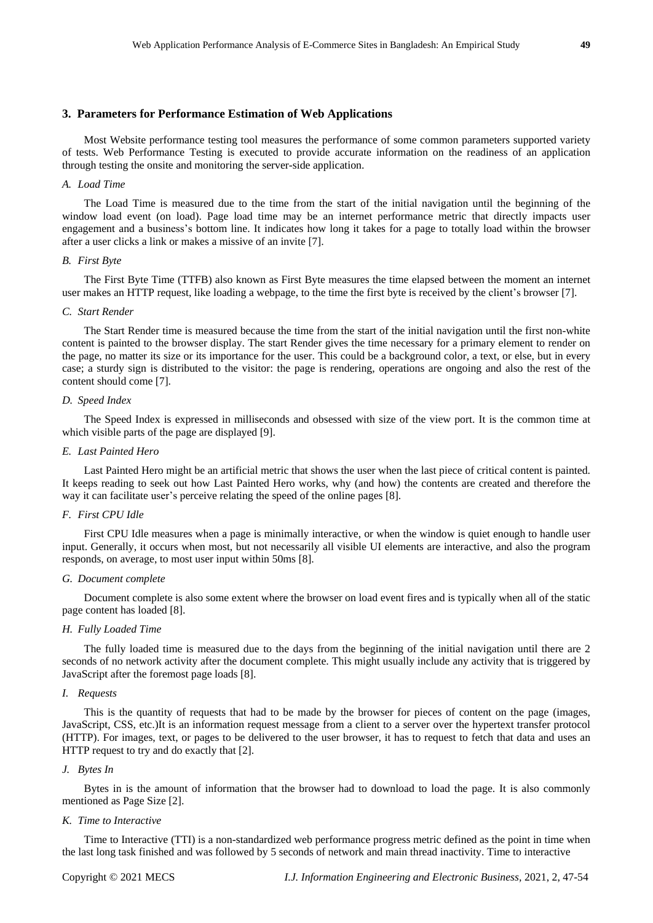#### **3. Parameters for Performance Estimation of Web Applications**

Most Website performance testing tool measures the performance of some common parameters supported variety of tests. Web Performance Testing is executed to provide accurate information on the readiness of an application through testing the onsite and monitoring the server-side application.

## *A. Load Time*

The Load Time is measured due to the time from the start of the initial navigation until the beginning of the window load event (on load). Page load time may be an internet performance metric that directly impacts user engagement and a business's bottom line. It indicates how long it takes for a page to totally load within the browser after a user clicks a link or makes a missive of an invite [7].

#### *B. First Byte*

The First Byte Time (TTFB) also known as First Byte measures the time elapsed between the moment an internet user makes an HTTP request, like loading a webpage, to the time the first byte is received by the client's browser [7].

#### *C. Start Render*

The Start Render time is measured because the time from the start of the initial navigation until the first non-white content is painted to the browser display. The start Render gives the time necessary for a primary element to render on the page, no matter its size or its importance for the user. This could be a background color, a text, or else, but in every case; a sturdy sign is distributed to the visitor: the page is rendering, operations are ongoing and also the rest of the content should come [7].

## *D. Speed Index*

The Speed Index is expressed in milliseconds and obsessed with size of the view port. It is the common time at which visible parts of the page are displayed [9].

## *E. Last Painted Hero*

Last Painted Hero might be an artificial metric that shows the user when the last piece of critical content is painted. It keeps reading to seek out how Last Painted Hero works, why (and how) the contents are created and therefore the way it can facilitate user's perceive relating the speed of the online pages [8].

## *F. First CPU Idle*

First CPU Idle measures when a page is minimally interactive, or when the window is quiet enough to handle user input. Generally, it occurs when most, but not necessarily all visible UI elements are interactive, and also the program responds, on average, to most user input within 50ms [8].

#### *G. Document complete*

Document complete is also some extent where the browser on load event fires and is typically when all of the static page content has loaded [8].

#### *H. Fully Loaded Time*

The fully loaded time is measured due to the days from the beginning of the initial navigation until there are 2 seconds of no network activity after the document complete. This might usually include any activity that is triggered by JavaScript after the foremost page loads [8].

## *I. Requests*

This is the quantity of requests that had to be made by the browser for pieces of content on the page (images, JavaScript, CSS, etc.)It is an information request message from a client to a server over the hypertext transfer protocol (HTTP). For images, text, or pages to be delivered to the user browser, it has to request to fetch that data and uses an HTTP request to try and do exactly that [2].

#### *J. Bytes In*

Bytes in is the amount of information that the browser had to download to load the page. It is also commonly mentioned as Page Size [2].

#### *K. Time to Interactive*

Time to Interactive (TTI) is a non-standardized web performance progress metric defined as the point in time when the last long task finished and was followed by 5 seconds of network and main thread inactivity. Time to interactive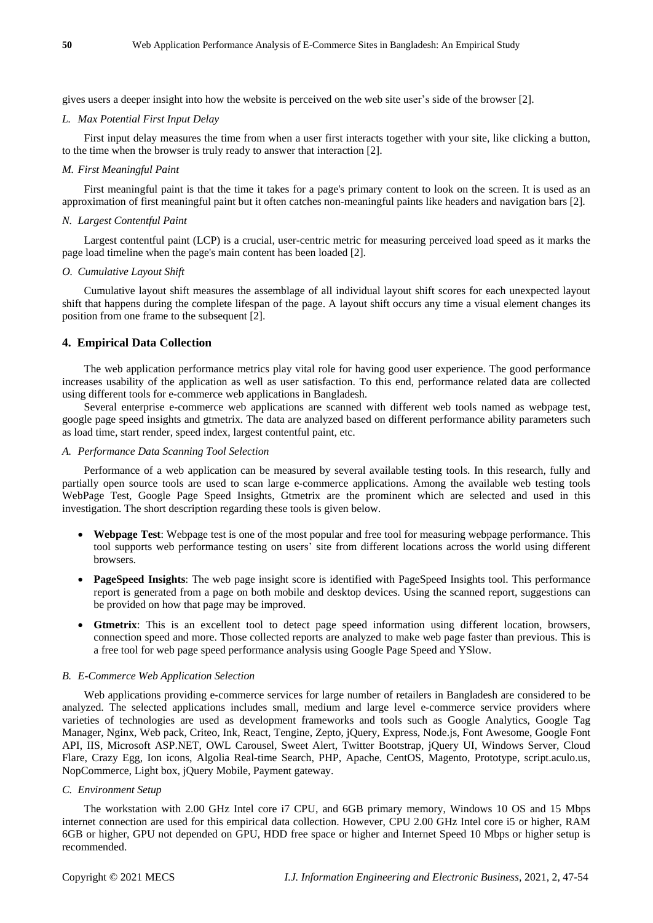gives users a deeper insight into how the website is perceived on the web site user's side of the browser [2].

#### *L. Max Potential First Input Delay*

First input delay measures the time from when a user first interacts together with your site, like clicking a button, to the time when the browser is truly ready to answer that interaction [2].

#### *M. First Meaningful Paint*

First meaningful paint is that the time it takes for a page's primary content to look on the screen. It is used as an approximation of first meaningful paint but it often catches non-meaningful paints like headers and navigation bars [2].

#### *N. Largest Contentful Paint*

Largest contentful paint (LCP) is a crucial, user-centric metric for measuring perceived load speed as it marks the page load timeline when the page's main content has been loaded [2].

## *O. Cumulative Layout Shift*

Cumulative layout shift measures the assemblage of all individual layout shift scores for each unexpected layout shift that happens during the complete lifespan of the page. A layout shift occurs any time a visual element changes its position from one frame to the subsequent [2].

## **4. Empirical Data Collection**

The web application performance metrics play vital role for having good user experience. The good performance increases usability of the application as well as user satisfaction. To this end, performance related data are collected using different tools for e-commerce web applications in Bangladesh.

Several enterprise e-commerce web applications are scanned with different web tools named as webpage test, google page speed insights and gtmetrix. The data are analyzed based on different performance ability parameters such as load time, start render, speed index, largest contentful paint, etc.

#### *A. Performance Data Scanning Tool Selection*

Performance of a web application can be measured by several available testing tools. In this research, fully and partially open source tools are used to scan large e-commerce applications. Among the available web testing tools WebPage Test, Google Page Speed Insights, Gtmetrix are the prominent which are selected and used in this investigation. The short description regarding these tools is given below.

- **Webpage Test**: Webpage test is one of the most popular and free tool for measuring webpage performance. This tool supports web performance testing on users' site from different locations across the world using different browsers.
- **PageSpeed Insights**: The web page insight score is identified with PageSpeed Insights tool. This performance report is generated from a page on both mobile and desktop devices. Using the scanned report, suggestions can be provided on how that page may be improved.
- **Gtmetrix**: This is an excellent tool to detect page speed information using different location, browsers, connection speed and more. Those collected reports are analyzed to make web page faster than previous. This is a free tool for web page speed performance analysis using Google Page Speed and YSlow.

## *B. E-Commerce Web Application Selection*

Web applications providing e-commerce services for large number of retailers in Bangladesh are considered to be analyzed. The selected applications includes small, medium and large level e-commerce service providers where varieties of technologies are used as development frameworks and tools such as Google Analytics, Google Tag Manager, Nginx, Web pack, Criteo, Ink, React, Tengine, Zepto, jQuery, Express, Node.js, Font Awesome, Google Font API, IIS, Microsoft ASP.NET, OWL Carousel, Sweet Alert, Twitter Bootstrap, jQuery UI, Windows Server, Cloud Flare, Crazy Egg, Ion icons, Algolia Real-time Search, PHP, Apache, CentOS, Magento, Prototype, script.aculo.us, NopCommerce, Light box, jQuery Mobile, Payment gateway.

#### *C. Environment Setup*

The workstation with 2.00 GHz Intel core i7 CPU, and 6GB primary memory, Windows 10 OS and 15 Mbps internet connection are used for this empirical data collection. However, CPU 2.00 GHz Intel core i5 or higher, RAM 6GB or higher, GPU not depended on GPU, HDD free space or higher and Internet Speed 10 Mbps or higher setup is recommended.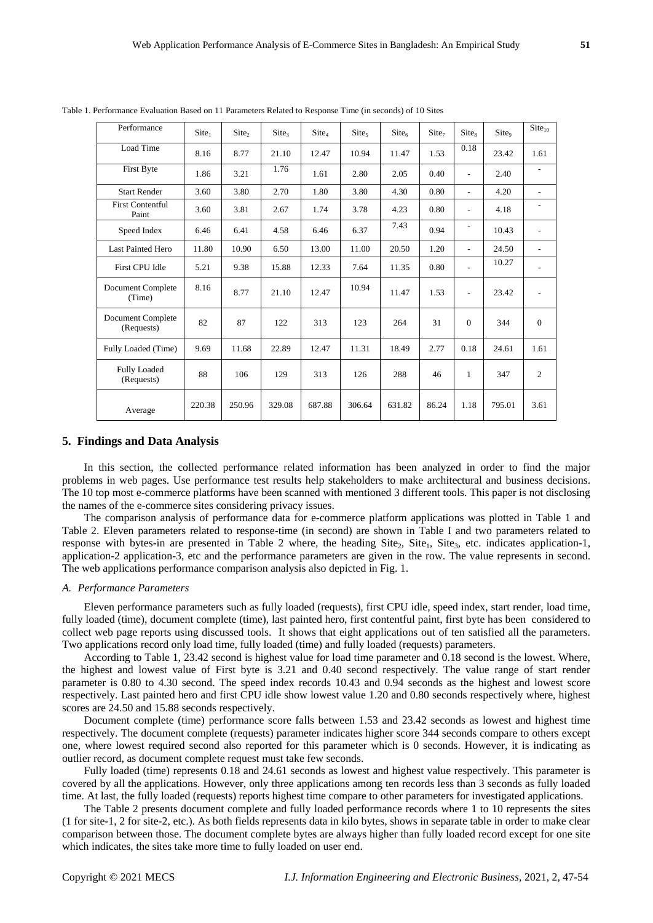| Performance                       | Site <sub>1</sub> | Site <sub>2</sub> | $\text{Site}_3$ | $\text{Site}_4$ | $\text{Site}_5$ | $\text{Site}_6$ | $\text{Site}_7$ | Site <sub>8</sub>        | Site <sub>9</sub> | Site <sub>10</sub>       |
|-----------------------------------|-------------------|-------------------|-----------------|-----------------|-----------------|-----------------|-----------------|--------------------------|-------------------|--------------------------|
| Load Time                         | 8.16              | 8.77              | 21.10           | 12.47           | 10.94           | 11.47           | 1.53            | 0.18                     | 23.42             | 1.61                     |
| First Byte                        | 1.86              | 3.21              | 1.76            | 1.61            | 2.80            | 2.05            | 0.40            | $\sim$                   | 2.40              |                          |
| <b>Start Render</b>               | 3.60              | 3.80              | 2.70            | 1.80            | 3.80            | 4.30            | 0.80            | $\sim$                   | 4.20              |                          |
| <b>First Contentful</b><br>Paint  | 3.60              | 3.81              | 2.67            | 1.74            | 3.78            | 4.23            | 0.80            | ٠                        | 4.18              |                          |
| Speed Index                       | 6.46              | 6.41              | 4.58            | 6.46            | 6.37            | 7.43            | 0.94            | $\overline{\phantom{a}}$ | 10.43             | ٠                        |
| <b>Last Painted Hero</b>          | 11.80             | 10.90             | 6.50            | 13.00           | 11.00           | 20.50           | 1.20            | ٠                        | 24.50             | $\overline{\phantom{0}}$ |
| First CPU Idle                    | 5.21              | 9.38              | 15.88           | 12.33           | 7.64            | 11.35           | 0.80            |                          | 10.27             |                          |
| Document Complete<br>(Time)       | 8.16              | 8.77              | 21.10           | 12.47           | 10.94           | 11.47           | 1.53            | $\overline{\phantom{a}}$ | 23.42             | ٠                        |
| Document Complete<br>(Requests)   | 82                | 87                | 122             | 313             | 123             | 264             | 31              | $\Omega$                 | 344               | $\theta$                 |
| Fully Loaded (Time)               | 9.69              | 11.68             | 22.89           | 12.47           | 11.31           | 18.49           | 2.77            | 0.18                     | 24.61             | 1.61                     |
| <b>Fully Loaded</b><br>(Requests) | 88                | 106               | 129             | 313             | 126             | 288             | 46              | 1                        | 347               | $\overline{c}$           |
| Average                           | 220.38            | 250.96            | 329.08          | 687.88          | 306.64          | 631.82          | 86.24           | 1.18                     | 795.01            | 3.61                     |

Table 1. Performance Evaluation Based on 11 Parameters Related to Response Time (in seconds) of 10 Sites

#### **5. Findings and Data Analysis**

In this section, the collected performance related information has been analyzed in order to find the major problems in web pages. Use performance test results help stakeholders to make architectural and business decisions. The 10 top most e-commerce platforms have been scanned with mentioned 3 different tools. This paper is not disclosing the names of the e-commerce sites considering privacy issues.

The comparison analysis of performance data for e-commerce platform applications was plotted in Table 1 and Table 2. Eleven parameters related to response-time (in second) are shown in Table I and two parameters related to response with bytes-in are presented in Table 2 where, the heading Site<sub>2</sub>, Site<sub>1</sub>, Site<sub>3</sub>, etc. indicates application-1, application-2 application-3, etc and the performance parameters are given in the row. The value represents in second. The web applications performance comparison analysis also depicted in Fig. 1.

#### *A. Performance Parameters*

Eleven performance parameters such as fully loaded (requests), first CPU idle, speed index, start render, load time, fully loaded (time), document complete (time), last painted hero, first contentful paint, first byte has been considered to collect web page reports using discussed tools. It shows that eight applications out of ten satisfied all the parameters. Two applications record only load time, fully loaded (time) and fully loaded (requests) parameters.

According to Table 1, 23.42 second is highest value for load time parameter and 0.18 second is the lowest. Where, the highest and lowest value of First byte is 3.21 and 0.40 second respectively. The value range of start render parameter is 0.80 to 4.30 second. The speed index records 10.43 and 0.94 seconds as the highest and lowest score respectively. Last painted hero and first CPU idle show lowest value 1.20 and 0.80 seconds respectively where, highest scores are 24.50 and 15.88 seconds respectively.

Document complete (time) performance score falls between 1.53 and 23.42 seconds as lowest and highest time respectively. The document complete (requests) parameter indicates higher score 344 seconds compare to others except one, where lowest required second also reported for this parameter which is 0 seconds. However, it is indicating as outlier record, as document complete request must take few seconds.

Fully loaded (time) represents 0.18 and 24.61 seconds as lowest and highest value respectively. This parameter is covered by all the applications. However, only three applications among ten records less than 3 seconds as fully loaded time. At last, the fully loaded (requests) reports highest time compare to other parameters for investigated applications.

The Table 2 presents document complete and fully loaded performance records where 1 to 10 represents the sites (1 for site-1, 2 for site-2, etc.). As both fields represents data in kilo bytes, shows in separate table in order to make clear comparison between those. The document complete bytes are always higher than fully loaded record except for one site which indicates, the sites take more time to fully loaded on user end.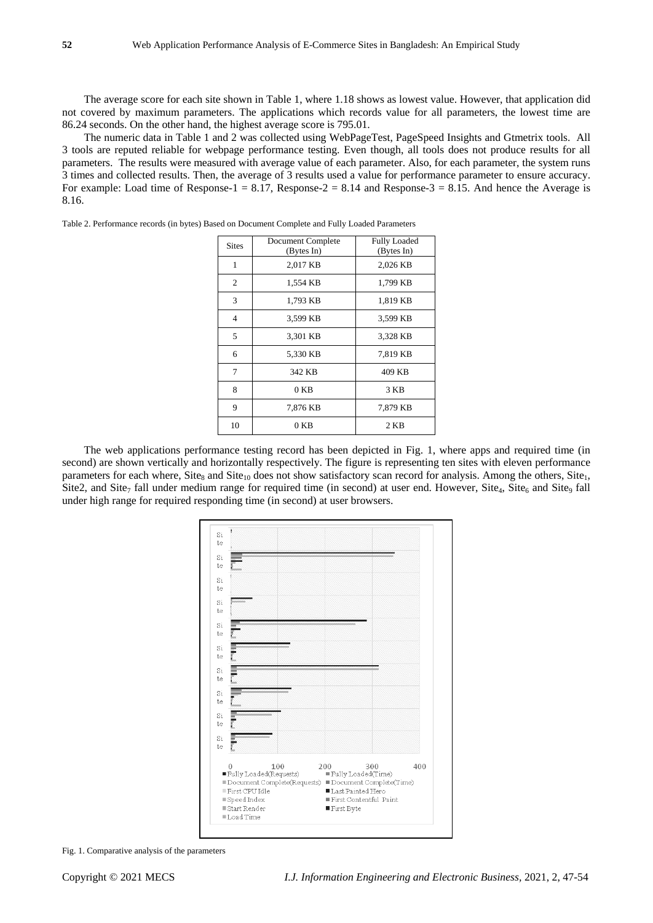The average score for each site shown in Table 1, where 1.18 shows as lowest value. However, that application did not covered by maximum parameters. The applications which records value for all parameters, the lowest time are 86.24 seconds. On the other hand, the highest average score is 795.01.

The numeric data in Table 1 and 2 was collected using WebPageTest, PageSpeed Insights and Gtmetrix tools. All 3 tools are reputed reliable for webpage performance testing. Even though, all tools does not produce results for all parameters. The results were measured with average value of each parameter. Also, for each parameter, the system runs 3 times and collected results. Then, the average of 3 results used a value for performance parameter to ensure accuracy. For example: Load time of Response-1 = 8.17, Response-2 = 8.14 and Response-3 = 8.15. And hence the Average is 8.16.

|                | Document Complete | <b>Fully Loaded</b> |  |  |  |
|----------------|-------------------|---------------------|--|--|--|
| <b>Sites</b>   | (Bytes In)        | (Bytes In)          |  |  |  |
| 1              | 2,017 KB          | 2,026 KB            |  |  |  |
| $\overline{c}$ | 1,554 KB          | 1,799 KB            |  |  |  |
| 3              | 1,793 KB          | 1,819 KB            |  |  |  |
| $\overline{4}$ | 3,599 KB          | 3,599 KB            |  |  |  |
| 5              | 3,301 KB          | 3,328 KB            |  |  |  |
| 6              | 5,330 KB          | 7,819 KB            |  |  |  |
| 7              | 342 KB            | 409 KB              |  |  |  |
| 8              | $0$ KB            | 3 KB                |  |  |  |
| 9              | 7,876 KB          | 7,879 KB            |  |  |  |
| 10             | 0 KB              | 2 KB                |  |  |  |

Table 2. Performance records (in bytes) Based on Document Complete and Fully Loaded Parameters

The web applications performance testing record has been depicted in Fig. 1, where apps and required time (in second) are shown vertically and horizontally respectively. The figure is representing ten sites with eleven performance parameters for each where, Site<sub>8</sub> and Site<sub>10</sub> does not show satisfactory scan record for analysis. Among the others, Site<sub>1</sub>, Site2, and Site<sub>7</sub> fall under medium range for required time (in second) at user end. However, Site<sub>4</sub>, Site<sub>6</sub> and Site<sub>9</sub> fall under high range for required responding time (in second) at user browsers.



Fig. 1. Comparative analysis of the parameters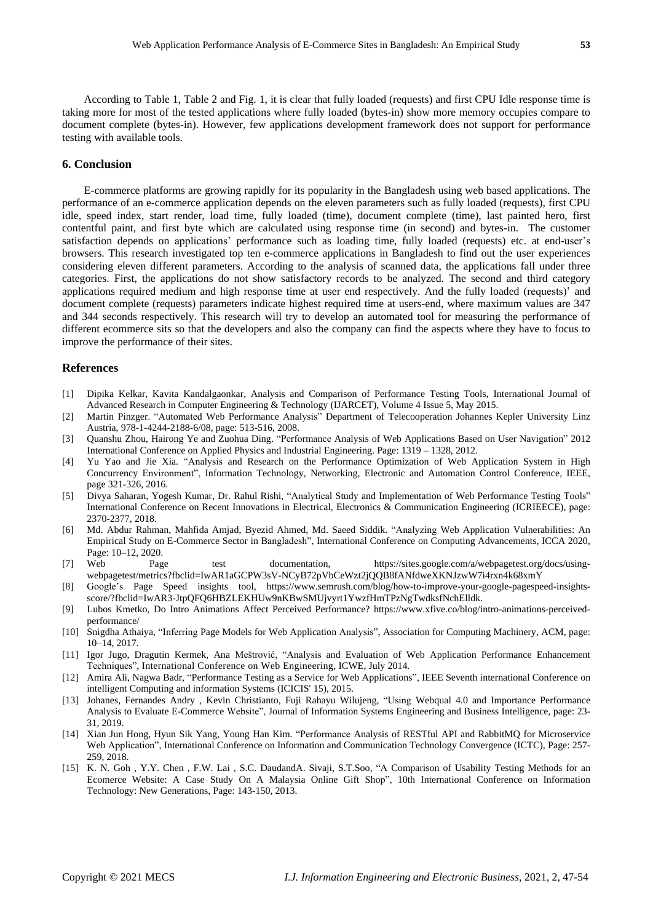According to Table 1, Table 2 and Fig. 1, it is clear that fully loaded (requests) and first CPU Idle response time is taking more for most of the tested applications where fully loaded (bytes-in) show more memory occupies compare to document complete (bytes-in). However, few applications development framework does not support for performance testing with available tools.

## **6. Conclusion**

E-commerce platforms are growing rapidly for its popularity in the Bangladesh using web based applications. The performance of an e-commerce application depends on the eleven parameters such as fully loaded (requests), first CPU idle, speed index, start render, load time, fully loaded (time), document complete (time), last painted hero, first contentful paint, and first byte which are calculated using response time (in second) and bytes-in. The customer satisfaction depends on applications' performance such as loading time, fully loaded (requests) etc. at end-user's browsers. This research investigated top ten e-commerce applications in Bangladesh to find out the user experiences considering eleven different parameters. According to the analysis of scanned data, the applications fall under three categories. First, the applications do not show satisfactory records to be analyzed. The second and third category applications required medium and high response time at user end respectively. And the fully loaded (requests)' and document complete (requests) parameters indicate highest required time at users-end, where maximum values are 347 and 344 seconds respectively. This research will try to develop an automated tool for measuring the performance of different ecommerce sits so that the developers and also the company can find the aspects where they have to focus to improve the performance of their sites.

### **References**

- [1] Dipika Kelkar, Kavita Kandalgaonkar, Analysis and Comparison of Performance Testing Tools, International Journal of Advanced Research in Computer Engineering & Technology (IJARCET), Volume 4 Issue 5, May 2015.
- [2] Martin Pinzger. "Automated Web Performance Analysis" Department of Telecooperation Johannes Kepler University Linz Austria, 978-1-4244-2188-6/08, page: 513-516, 2008.
- [3] Quanshu Zhou, Hairong Ye and Zuohua Ding. "Performance Analysis of Web Applications Based on User Navigation" 2012 International Conference on Applied Physics and Industrial Engineering. Page: 1319 – 1328, 2012.
- [4] Yu Yao and Jie Xia. "Analysis and Research on the Performance Optimization of Web Application System in High Concurrency Environment", Information Technology, [Networking,](https://ieeexplore.ieee.org/xpl/conhome/7553039/proceeding) Electronic and Automation Control Conference, IEEE, page 321-326, 2016.
- [5] Divya Saharan, Yogesh Kumar, Dr. Rahul Rishi, "Analytical Study and Implementation of Web Performance Testing Tools" International Conference on Recent Innovations in Electrical, Electronics & Communication Engineering (ICRIEECE), page: 2370-2377, 2018.
- [6] Md. Abdur Rahman, Mahfida Amjad, Byezid Ahmed, Md. Saeed Siddik. "Analyzing Web Application Vulnerabilities: An Empirical Study on E-Commerce Sector in Bangladesh", International Conference on Computing Advancements, ICCA 2020, Page: 10–12, 2020.
- [7] Web Page test documentation, https://sites.google.com/a/webpagetest.org/docs/usingwebpagetest/metrics?fbclid=IwAR1aGCPW3sV-NCyB72pVbCeWzt2jQQB8fANfdweXKNJzwW7i4rxn4k68xmY
- [8] Google's Page Speed insights tool, [https://www.semrush.com/blog/how-to-improve-your-google-pagespeed-insights](https://www.semrush.com/blog/how-to-improve-your-google-pagespeed-insights-score/?fbclid=IwAR3-JtpQFQ6HBZLEKHUw9nKBwSMUjvyrt1YwzfHmTPzNgTwdksfNchElldk)[score/?fbclid=IwAR3-JtpQFQ6HBZLEKHUw9nKBwSMUjvyrt1YwzfHmTPzNgTwdksfNchElldk.](https://www.semrush.com/blog/how-to-improve-your-google-pagespeed-insights-score/?fbclid=IwAR3-JtpQFQ6HBZLEKHUw9nKBwSMUjvyrt1YwzfHmTPzNgTwdksfNchElldk)
- [9] Lubos Kmetko, Do Intro Animations Affect Perceived Performance? [https://www.xfive.co/blog/intro-animations-perceived](https://www.xfive.co/blog/intro-animations-perceived-performance/)[performance/](https://www.xfive.co/blog/intro-animations-perceived-performance/)
- [10] Snigdha Athaiya, "Inferring Page Models for Web Application Analysis", Association for Computing Machinery, ACM, page: 10–14, 2017.
- [11] Igor Jugo, Dragutin Kermek, Ana Meštrović, "Analysis and Evaluation of Web Application Performance Enhancement Techniques", International Conference on Web [Engineering,](https://link.springer.com/conference/icwe) ICWE, July 2014.
- [12] Amira Ali, Nagwa Badr, "Performance Testing as a Service for Web Applications", IEEE Seventh international Conference on intelligent Computing and information Systems (ICICIS' 15), 2015.
- [13] Johanes, Fernandes Andry , Kevin Christianto, Fuji Rahayu Wilujeng, "Using Webqual 4.0 and Importance Performance Analysis to Evaluate E-Commerce Website", Journal of Information Systems Engineering and Business Intelligence, page: 23- 31, 2019.
- [14] Xian Jun Hong, Hyun Sik Yang, Young Han Kim. "Performance Analysis of RESTful API and RabbitMQ for Microservice Web Application", International Conference on Information and [Communication](https://ieeexplore.ieee.org/xpl/conhome/8509497/proceeding) Technology Convergence (ICTC), Page: 257- 259, 2018.
- [15] K. N. Goh , Y.Y. Chen , F.W. Lai , S.C. DaudandA. Sivaji, S.T.Soo, "A Comparison of Usability Testing Methods for an Ecomerce Website: A Case Study On A Malaysia Online Gift Shop", 10th [International](https://ieeexplore.ieee.org/xpl/conhome/6596011/proceeding) Conference on Information Technology: New [Generations,](https://ieeexplore.ieee.org/xpl/conhome/6596011/proceeding) Page: 143-150, 2013.